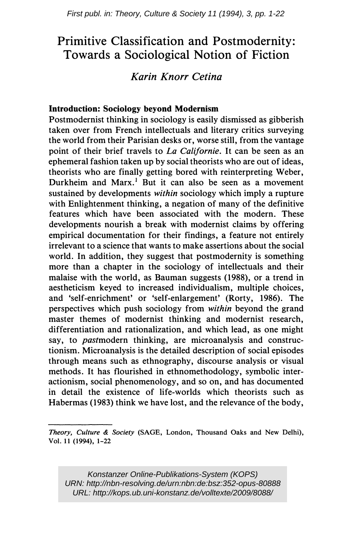# Primitive Classification and Postmodernity: Towards a Sociological Notion of Fiction

# Karin Knorr Cetina

## Introduction: Sociology beyond Modernism

Postmodernist thinking in sociology is easily dismissed as gibberish taken over from French intellectuals and literary critics surveying the world from their Parisian desks or, worse still, from the vantage point of their brief travels to La Californie. It can be seen as an ephemeral fashion taken up by social theorists who are out of ideas, theorists who are finally getting bored with reinterpreting Weber, Durkheim and Marx.<sup>1</sup> But it can also be seen as a movement sustained by developments *within* sociology which imply a rupture with Enlightenment thinking, a negation of many of the definitive features which have been associated with the modern. These developments nourish a break with modernist claims by offering empirical documentation for their findings, a feature not entirely irrelevant to a science that wants to make assertions about the social world. In addition, they suggest that postmodernity is something more than a chapter in the sociology of intellectuals and their malaise with the world, as Bauman suggests (1988), or a trend in aestheticism keyed to increased individualism, multiple choices, and 'self-enrichment' or 'self-enlargement' (Rorty, 1986). The perspectives which push sociology from *within* beyond the grand master themes of modernist thinking and modernist research, differentiation and rationalization, and which lead, as one might say, to *past* modern thinking, are microanalysis and constructionism. Microanalysis is the detailed description of social episodes through means such as ethnography, discourse analysis or visual methods. It has flourished in ethnomethodology, symbolic interactionism, social phenomenology, and so on, and has documented in detail the existence of life-worlds which theorists such as Habermas (1983) think we have lost, and the relevance of the body,

Konstanzer Online-Publikations-System (KOPS) URN:<http://nbn-resolving.de/urn:nbn:de:bsz:352-opus-80888> URL:<http://kops.ub.uni-konstanz.de/volltexte/2009/8088/>

Theory, Culture & Society (SAGE, London, Thousand Oaks and New Delhi), Vo\. 11 (1994), 1-22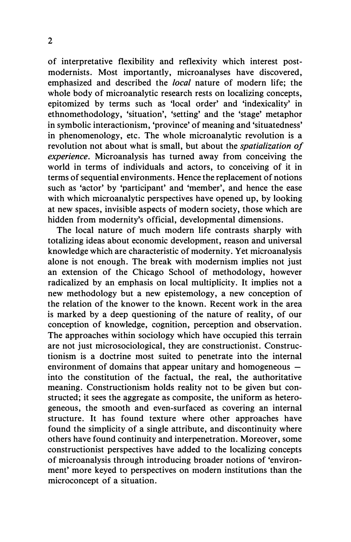of interpretative flexibility and reflexivity which interest postmodernists. Most importantly, microanalyses have discovered, emphasized and described the *local* nature of modern life; the whole body of micro analytic research rests on localizing concepts, epitomized by terms such as 'local order' and 'indexicality' in ethnomethodology, 'situation', 'setting' and the 'stage' metaphor in symbolic interactionism, 'province' of meaning and 'situatedness' in phenomenology, etc. The whole microanalytic revolution is a revolution not about what is small, but about the *spatialization of* experience. Microanalysis has turned away from conceiving the world in terms of individuals and actors, to conceiving of it in terms of sequential environments. Hence the replacement of notions such as 'actor' by 'participant' and 'member', and hence the ease with which micro analytic perspectives have opened up, by looking at new spaces, invisible aspects of modern society, those which are hidden from modernity's official, developmental dimensions.

The local nature of much modern life contrasts sharply with totalizing ideas about economic development, reason and universal knowledge which are characteristic of modernity. Yet microanalysis alone is not enough. The break with modernism implies not just an extension of the Chicago School of methodology, however radicalized by an emphasis on local multiplicity. It implies not a new methodology but a new epistemology, a new conception of the relation of the knower to the known. Recent work in the area is marked by a deep questioning of the nature of reality, of our conception of knowledge, cognition, perception and observation. The approaches within sociology which have occupied this terrain are not just microsociological, they are constructionist. Constructionism is a doctrine most suited to penetrate into the internal environment of domains that appear unitary and homogeneous  $$ into the constitution of the factual, the real, the authoritative meaning. Constructionism holds reality not to be given but constructed; it sees the aggregate as composite, the uniform as heterogeneous, the smooth and even-surfaced as covering an internal structure. It has found texture where other approaches have found the simplicity of a single attribute, and discontinuity where others have found continuity and interpenetration. Moreover, some constructionist perspectives have added to the localizing concepts of microanalysis through introducing broader notions of 'environment' more keyed to perspectives on modern institutions than the microconcept of a situation.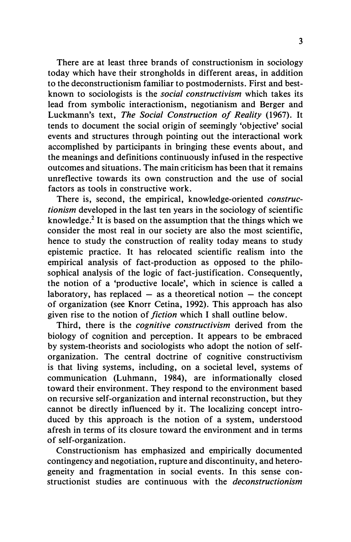There are at least three brands of constructionism in sociology today which have their strongholds in different areas, in addition to the deconstructionism familiar to postmodernists. First and bestknown to sociologists is the social constructivism which takes its lead from symbolic interactionism, negotianism and Berger and Luckmann's text, The Social Construction of Reality (1967). It tends to document the social origin of seemingly 'objective' social events and structures through pointing out the interactional work accomplished by participants in bringing these events about, and the meanings and definitions continuously infused in the respective outcomes and situations. The main criticism has been that it remains unreflective towards its own construction and the use of social factors as tools in constructive work.

There is, second, the empirical, knowledge-oriented constructionism developed in the last ten years in the sociology of scientific knowledge.2 It is based on the assumption that the things which we consider the most real in our society are also the most scientific, hence to study the construction of reality today means to study epistemic practice. It has relocated scientific realism into the empirical analysis of fact-production as opposed to the philosophical analysis of the logic of fact-justification. Consequently, the notion of a 'productive locale', which in science is called a laboratory, has replaced  $-$  as a theoretical notion  $-$  the concept of organization (see Knorr Cetina, 1992). This approach has also given rise to the notion of *fiction* which I shall outline below.

Third, there is the *cognitive constructivism* derived from the biology of cognition and perception. It appears to be embraced by system-theorists and sociologists who adopt the notion of selforganization. The central doctrine of cognitive constructivism is that living systems, including, on a societal level, systems of communication (Luhmann, 1984), are informationally closed toward their environment. They respond to the environment based on recursive self-organization and internal reconstruction, but they cannot be directly influenced by it. The localizing concept introduced by this approach is the notion of a system, understood afresh in terms of its closure toward the environment and in terms of self-organization.

Constructionism has emphasized and empirically documented contingency and negotiation, rupture and discontinuity, and heterogeneity and fragmentation in social events. In this sense constructionist studies are continuous with the *deconstructionism*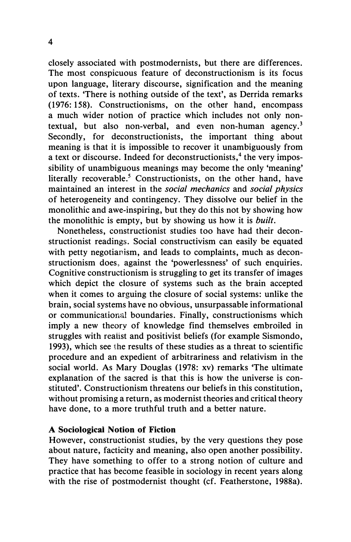closely associated with postmodernists, but there are differences. The most conspicuous feature of deconstructionism is its focus upon language, literary discourse, signification and the meaning of texts. 'There is nothing outside of the text', as Derrida remarks ( 1976: 158). Constructionisms, on the other hand, encompass a much wider notion of practice which includes not only nontextual, but also non-verbal, and even non-human agency.<sup>3</sup> Secondly, for deconstructionists, the important thing about meaning is that it is impossible to recover it unambiguously from a text or discourse. Indeed for deconstructionists,<sup>4</sup> the very impossibility of unambiguous meanings may become the only 'meaning' literally recoverable.<sup>5</sup> Constructionists, on the other hand, have maintained an interest in the social mechanics and social physics of heterogeneity and contingency. They dissolve our belief in the monolithic and awe-inspiring, but they do this not by showing how the monolithic is empty, but by showing us how it is built.

Nonetheless, constructionist studies too have had their deconstructionist readings. Social constructivism can easily be equated with petty negotianism, and leads to complaints, much as deconstructionism does, against the 'powerlessness' of such enquiries. Cognitive constructionism is struggling to get its transfer of images which depict the closure of systems such as the brain accepted when it comes to arguing the closure of social systems: unlike the brain, social systems have no obvious, unsurpassable informational or communicational boundaries. Finally, constructionisms which imply a new theory of knowledge find themselves embroiled in struggles with realist and positivist beliefs (for example Sismondo, 1993), which see the results of these studies as a threat to scientific procedure and an expedient of arbitrariness and relativism in the social world. As Mary Douglas ( 1978: xv) remarks 'The ultimate explanation of the sacred is that this is how the universe is constituted'. Constructionism threatens our beliefs in this constitution, without promising a return, as modernist theories and critical theory have done, to a more truthful truth and a better nature.

### A Sociological Notion of Fiction

However, constructionist studies, by the very questions they pose about nature, facticity and meaning, also open another possibility. They have something to offer to a strong notion of culture and practice that has become feasible in sociology in recent years along with the rise of postmodernist thought (cf. Featherstone, 1988a).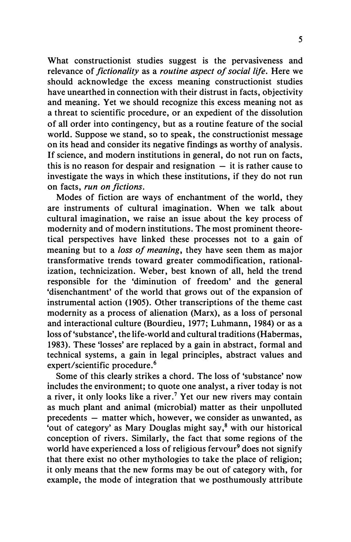What constructionist studies suggest is the pervasiveness and relevance of *fictionality* as a *routine aspect of social life*. Here we should acknowledge the excess meaning constructionist studies have unearthed in connection with their distrust in facts, objectivity and meaning. Yet we should recognize this excess meaning not as a threat to scientific procedure, or an expedient of the dissolution of all order into contingency, but as a routine feature of the social world. Suppose we stand, so to speak, the constructionist message on its head and consider its negative findings as worthy of analysis. If science, and modern institutions in general, do not run on facts, this is no reason for despair and resignation  $-$  it is rather cause to investigate the ways in which these institutions, if they do not run on facts, run on fictions.

Modes of fiction are ways of enchantment of the world, they are instruments of cultural imagination. When we talk about cultural imagination, we raise an issue about the key process of modernity and of modern institutions. The most prominent theoretical perspectives have linked these processes not to a gain of meaning but to a *loss of meaning*, they have seen them as major transformative trends toward greater commodification, rationalization, technicization. Weber, best known of all, held the trend responsible for the 'diminution of freedom' and the general 'disenchantment' of the world that grows out of the expansion of instrumental action (1905). Other transcriptions of the theme cast modernity as a process of alienation (Marx), as a loss of personal and interactional culture (Bourdieu, 1977; Luhmann, 1984) or as a loss of 'substance', the life-world and cultural traditions (Habermas, 1983). These 'losses' are replaced by a gain in abstract, formal and technical systems, a gain in legal principles, abstract values and expert/scientific procedure.<sup>6</sup>

Some of this clearly strikes a chord. The loss of 'substance' now includes the environment; to quote one analyst, a river today is not a river, it only looks like a river.<sup>7</sup> Yet our new rivers may contain as much plant and animal (microbial) matter as their unpolluted precedents – matter which, however, we consider as unwanted, as 'out of category' as Mary Douglas might say, $8$  with our historical conception of rivers. Similarly, the fact that some regions of the world have experienced a loss of religious fervour<sup>9</sup> does not signify that there exist no other mythologies to take the place of religion; it only means that the new forms may be out of category with, for example, the mode of integration that we posthumously attribute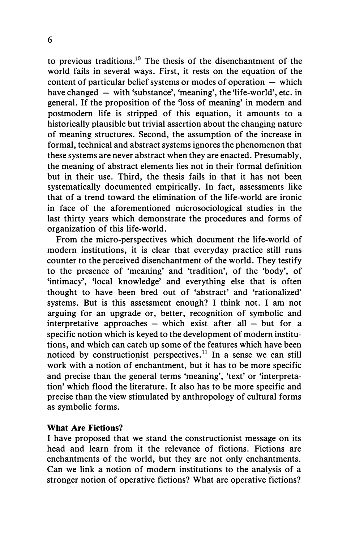to previous traditions.<sup>10</sup> The thesis of the disenchantment of the world fails in several ways. First, it rests on the equation of the content of particular belief systems or modes of operation  $-$  which have changed  $-$  with 'substance', 'meaning', the 'life-world', etc. in general. If the proposition of the 'loss of meaning' in modern and postmodern life is stripped of this equation, it amounts to a historically plausible but trivial assertion about the changing nature of meaning structures. Second, the assumption of the increase in formal, technical and abstract systems ignores the phenomenon that these systems are never abstract when they are enacted. Presumably, the meaning of abstract elements lies not in their formal definition but in their use. Third, the thesis fails in that it has not been systematically documented empirically. In fact, assessments like that of a trend toward the elimination of the life-world are ironic in face of the aforementioned microsociological studies in the last thirty years which demonstrate the procedures and forms of organization of this life-world.

From the micro-perspectives which document the life-world of modern institutions, it is clear that everyday practice still runs counter to the perceived disenchantment of the world. They testify to the presence of 'meaning' and 'tradition', of the 'body', of 'intimacy', 'local knowledge' and everything else that is often thought to have been bred out of 'abstract' and 'rationalized' systems. But is this assessment enough? I think not. I am not arguing for an upgrade or, better, recognition of symbolic and interpretative approaches  $-$  which exist after all  $-$  but for a specific notion which is keyed to the development of modern institutions, and which can catch up some of the features which have been noticed by constructionist perspectives.<sup>11</sup> In a sense we can still work with a notion of enchantment, but it has to be more specific and precise than the general terms 'meaning', 'text' or 'interpretation' which flood the literature. It also has to be more specific and precise than the view stimulated by anthropology of cultural forms as symbolic forms.

#### What Are Fictions?

I have proposed that we stand the constructionist message on its head and learn from it the relevance of fictions. Fictions are enchantments of the world, but they are not only enchantments. Can we link a notion of modern institutions to the analysis of a stronger notion of operative fictions? What are operative fictions?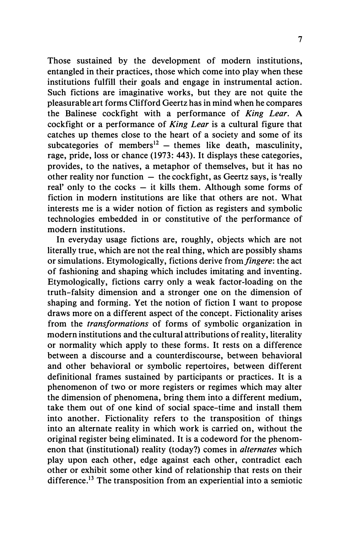Those sustained by the development of modern institutions, entangled in their practices, those which come into play when these institutions fulfill their goals and engage in instrumental action. Such fictions are imaginative works, but they are not quite the pleasurable art forms Clifford Geertz has in mind when he compares the Balinese cockfight with a performance of King Lear. A cockfight or a performance of King Lear is a cultural figure that catches up themes close to the heart of a society and some of its subcategories of members<sup>12</sup> – themes like death, masculinity, rage, pride, loss or chance (1973: 443). It displays these categories, provides, to the natives, a metaphor of themselves, but it has no other reality nor function  $-$  the cockfight, as Geertz says, is 'really real' only to the cocks  $-$  it kills them. Although some forms of fiction in modern institutions are like that others are not. What interests me is a wider notion of fiction as registers and symbolic technologies embedded in or constitutive of the performance of modern institutions.

In everyday usage fictions are, roughly, objects which are not literally true, which are not the real thing, which are possibly shams or simulations. Etymologically, fictions derive from *fingere*: the act of fashioning and shaping which includes imitating and inventing. Etymologically, fictions carry only a weak factor-loading on the truth-falsity dimension and a stronger one on the dimension of shaping and forming. Yet the notion of fiction I want to propose draws more on a different aspect of the concept. Fictionality arises from the transformations of forms of symbolic organization in modern institutions and the cultural attributions of reality, literality or normality which apply to these forms. It rests on a difference between a discourse and a counterdiscourse, between behavioral and other behavioral or symbolic repertoires, between different definitional frames sustained by participants or practices. It is a phenomenon of two or more registers or regimes which may alter the dimension of phenomena, bring them into a different medium, take them out of one kind of social space-time and install them into another. Fictionality refers to the transposition of things into an alternate reality in which work is carried on, without the original register being eliminated. It is a codeword for the phenomenon that (institutional) reality (today?) comes in alternates which play upon each other, edge against each other, contradict each other or exhibit some other kind of relationship that rests on their difference.<sup>13</sup> The transposition from an experiential into a semiotic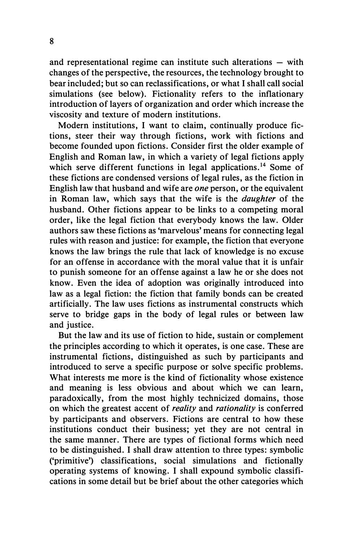and representational regime can institute such alterations  $-$  with changes of the perspective, the resources, the technology brought to bear included; but so can reclassifications, or what I shall call social simulations (see below). Fictionality refers to the inflationary introduction of layers of organization and order which increase the viscosity and texture of modern institutions.

Modern institutions, I want to claim, continually produce fictions, steer their way through fictions, work with fictions and become founded upon fictions. Consider first the older example of English and Roman law, in which a variety of legal fictions apply which serve different functions in legal applications.<sup>14</sup> Some of these fictions are condensed versions of legal rules, as the fiction in English law that husband and wife are one person, or the equivalent in Roman law, which says that the wife is the daughter of the husband. Other fictions appear to be links to a competing moral order, like the legal fiction that everybody knows the law. Older authors saw these fictions as 'marvelous' means for connecting legal rules with reason and justice: for example, the fiction that everyone knows the law brings the rule that lack of knowledge is no excuse for an offense in accordance with the moral value that it is unfair to punish someone for an offense against a law he or she does not know. Even the idea of adoption was originally introduced into law as a legal fiction: the fiction that family bonds can be created artificially. The law uses fictions as instrumental constructs which serve to bridge gaps in the body of legal rules or between law and justice.

But the law and its use of fiction to hide, sustain or complement the principles according to which it operates, is one case. These are instrumental fictions, distinguished as such by participants and introduced to serve a specific purpose or solve specific problems. What interests me more is the kind of fictionality whose existence and meaning is less obvious and about which we can learn, paradoxically, from the most highly technicized domains, those on which the greatest accent of *reality* and *rationality* is conferred by participants and observers. Fictions are central to how these institutions conduct their business; yet they are not central in the same manner. There are types of fictional forms which need to be distinguished. I shall draw attention to three types: symbolic ('primitive') classifications, social simulations and fictionally operating systems of knowing. I shall expound symbolic classifications in some detail but be brief about the other categories which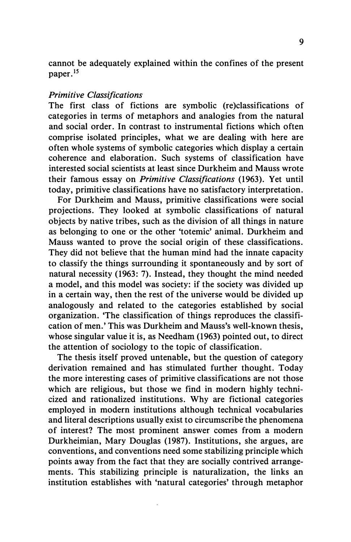cannot be adequately explained within the confines of the present paper.<sup>15</sup>

#### Primitive Classifications

The first class of fictions are symbolic (re)classifications of categories in terms of metaphors and analogies from the natural and social order. In contrast to instrumental fictions which often comprise isolated principles, what we are dealing with here are often whole systems of symbolic categories which display a certain coherence and elaboration. Such systems of classification have interested social scientists at least since Durkheim and Mauss wrote their famous essay on *Primitive Classifications* (1963). Yet until today, primitive classifications have no satisfactory interpretation.

For Durkheim and Mauss, primitive classifications were social projections. They looked at symbolic classifications of natural objects by native tribes, such as the division of all things in nature as belonging to one or the other 'totemic' animal. Durkheim and Mauss wanted to prove the social origin of these classifications. They did not believe that the human mind had the innate capacity to classify the things surrounding it spontaneously and by sort of natural necessity ( 1963: 7). Instead, they thought the mind needed a model, and this model was society: if the society was divided up in a certain way, then the rest of the universe would be divided up analogously and related to the categories established by social organization. 'The classification of things reproduces the classification of men.' This was Durkheim and Mauss's well-known thesis, whose singular value it is, as Needham (1963) pointed out, to direct the attention of sociology to the topic of classification.

The thesis itself proved untenable, but the question of category derivation remained and has stimulated further thought. Today the more interesting cases of primitive classifications are not those which are religious, but those we find in modern highly technicized and rationalized institutions. Why are fictional categories employed in modern institutions although technical vocabularies and literal descriptions usually exist to circumscribe the phenomena of interest? The most prominent answer comes from a modern Durkheimian, Mary Douglas ( 1987). Institutions, she argues, are conventions, and conventions need some stabilizing principle which points away from the fact that they are socially contrived arrangements. This stabilizing principle is naturalization, the links an institution establishes with 'natural categories' through metaphor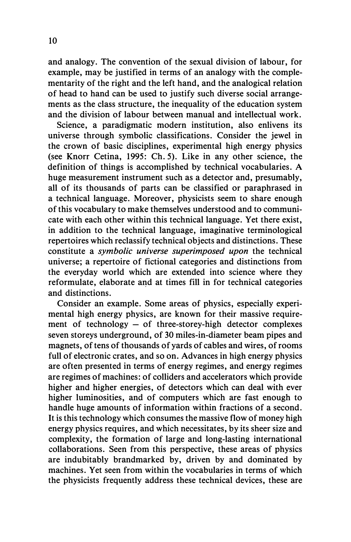and analogy. The convention of the sexual division of labour, for example, may be justified in terms of an analogy with the complementarity of the right and the left hand, and the analogical relation of head to hand can be used to justify such diverse social arrangements as the class structure, the inequality of the education system and the division of labour between manual and intellectual work.

Science, a paradigmatic modern institution, also enlivens its universe through symbolic classifications. Consider the jewel in the crown of basic disciplines, experimental high energy physics (see Knorr Cetina, 1995: Ch. 5). Like in any other science, the definition of things is accomplished by technical vocabularies. A huge measurement instrument such as a detector and, presumably, all of its thousands of parts can be classified or paraphrased in a technical language. Moreover, physicists seem to share enough of this vocabulary to make themselves understood and to communicate with each other within this technical language. Yet there exist, in addition to the technical language, imaginative terminological repertoires which reclassify technical objects and distinctions. These constitute a symbolic universe superimposed upon the technical universe; a repertoire of fictional categories and distinctions from the everyday world which are extended into science where they reformulate, elaborate and at times fill in for technical categories and distinctions.

Consider an example. Some areas of physics, especially experimental high energy physics, are known for their massive requirement of technology  $-$  of three-storey-high detector complexes seven storeys underground, of 30 miles-in-diameter beam pipes and magnets, of tens of thousands of yards of cables and wires, of rooms full of electronic crates, and so on. Advances in high energy physics are often presented in terms of energy regimes, and energy regimes are regimes of machines: of colliders and accelerators which provide higher and higher energies, of detectors which can deal with ever higher luminosities, and of computers which are fast enough to handle huge amounts of information within fractions of a second. It is this technology which consumes the massive flow of money high energy physics requires, and which necessitates, by its sheer size and complexity, the formation of large and long-lasting international collaborations. Seen from this perspective, these areas of physics are indubitably brandmarked by, driven by and dominated by machines. Yet seen from within the vocabularies in terms of which the physicists frequently address these technical devices, these are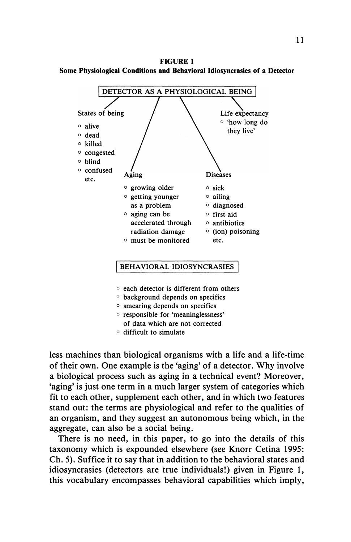FIGURE 1 Some Pbysiological Conditions and Bebavioral Idiosyncrasies of a Detector



- o background depends on specifics
- o smearing depends on specifics
- $\circ$  responsible for 'meaninglessness' of data which are not corrected
- o difficult to simulate

less machines than biological organisms with a life and a life-time of their own. One example is the 'aging' of a detector. Why involve a biological process such as aging in a technical event? Moreover, 'aging' is just one term in a much larger system of categories which fit to each other, supplement each other, and in which two features stand out: the terms are physiological and refer to the qualities of an organism, and they suggest an autonomous being which, in the aggregate, can also be a social being.

There is no need, in this paper, to go into the details of this taxonomy which is expounded elsewhere (see Knorr Cetina 1995: Ch. 5). Suffice it to say that in addition to the behavioral states and idiosyncrasies (detectors are true individuals!) given in Figure 1, this vocabulary encompasses behavioral capabilities which imply,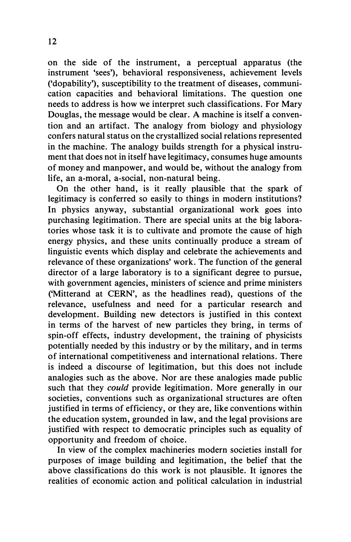on the side of the instrument, a perceptual apparatus (the instrument 'sees'), behavioral responsiveness, achievement levels ('dopability'), susceptibility to the treatment of diseases, communication capacities and behavioral limitations. The question one needs to address is how we interpret such classifications. For Mary Douglas, the message would be clear. A machine is itself a convention and an artifact. The analogy from biology and physiology confers natural status on the crystallized social relations represented in the machine. The analogy builds strength for a physical instrument that does not in itself have legitimacy, consumes huge amounts of money and manpower, and would be, without the analogy from life, an a-moral, a-social, non-natural being.

On the other hand, is it really plausible that the spark of legitimacy is conferred so easily to things in modern institutions? In physics anyway, substantial organizational work goes into purchasing legitimation. There are special units at the big laboratories whose task it is to cultivate and promote the cause of high energy physics, and these units continually produce a stream of linguistic events which display and celebrate the achievements and relevance of these organizations' work. The function of the general director of a large laboratory is to a significant degree to pursue, with government agencies, ministers of science and prime ministers ('Mitterand at CERN', as the headlines read), questions of the relevance, usefulness and need for a particular research and development. Building new detectors is justified in this context in terms of the harvest of new particles they bring, in terms of spin-off effects, industry development, the training of physicists potentially needed by this industry or by the military, and in terms of international competitiveness and international relations. There is indeed a discourse of legitimation, but this does not include analogies such as the above. Nor are these analogies made public such that they *could* provide legitimation. More generally in our societies, conventions such as organizational structures are often justified in terms of efficiency, or they are, like conventions within the education system, grounded in law, and the legal provisions are justified with respect to democratic principles such as equality of opportunity and freedom of choice.

In view of the complex machineries modern societies install for purposes of image building and legitimation, the belief that the above classifications do this work is not plausible. It ignores the realities of economic action and political calculation in industrial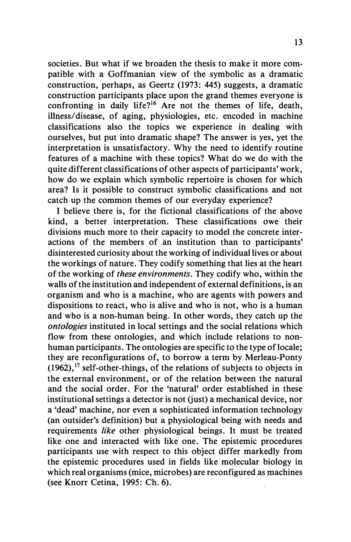societies. But what if we broaden the thesis to make it more compatible with a Goffmanian view of the symbolic as a dramatic construction, perhaps, as Geertz (1973: 445) suggests, a dramatic construction participants place upon the grand themes everyone is confronting in daily life?<sup>16</sup> Are not the themes of life, death, illness/disease, of aging, physiologies, etc. encoded in machine classifications also the topics we experience in dealing with ourselves, but put into dramatic shape? The answer is yes, yet the interpretation is unsatisfactory. Why the need to identify routine features of a machine with these topics? What do we do with the quite different classifications of other aspects of participants' work, how do we explain which symbolic repertoire is chosen for which area? Is it possible to construct symbolic classifications and not catch up the common themes of our everyday experience?

I believe there is, for the fictional classifications of the above kind, a better interpretation. These classifications owe their divisions much more to their capacity to model the concrete interactions of the members of an institution than to participants' disinterested curiosity about the working of individual lives or about the workings of nature. They codify something that lies at the heart of the working of these environments. They codify who, within the walls of the institution and independent of external definitions, is an organism and who is a machine, who are agents with powers and dispositions to react, who is alive and who is not, who is a human and who is a non-human being. In other words, they catch up the ontologies instituted in local settings and the social relations which flow from these ontologies, and which include relations to nonhuman participants. The ontologies are specific to the type of locale; they are reconfigurations of, to borrow a term by Merleau-Ponty  $(1962)$ ,  $^{17}$  self-other-things, of the relations of subjects to objects in the external environment, or of the relation between the natural and the social order. For the 'natural' order established in these institutional settings a detector is not (just) a mechanical device, nor a 'dead' machine, nor even a sophisticated information technology (an outsider's definition) but a physiological being with needs and requirements like other physiological beings. It must be treated like one and interacted with like one. The epistemic procedures participants use with respect to this object differ markedly from the epistemic procedures used in fields like molecular biology in which real organisms (mice, microbes) are reconfigured as machines (see Knorr Cetina, 1995: Ch. 6).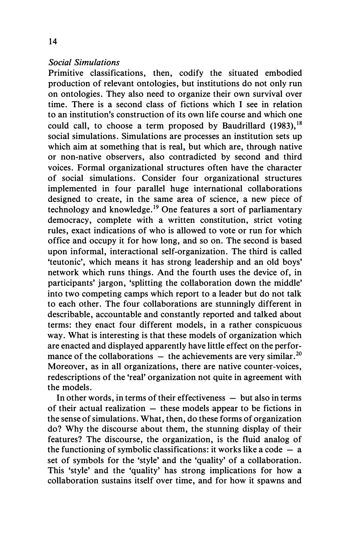#### Social Simulations

Primitive classifications, then, codify the situated embodied production of relevant ontologies, but institutions do not only run on ontologies. They also need to organize their own survival over time. There is a second class of fictions which I see in relation to an institution's construction of its own life course and which one could call, to choose a term proposed by Baudrillard  $(1983)$ , <sup>18</sup> social simulations. Simulations are processes an institution sets up which aim at something that is real, but which are, through native or non-native observers, also contradicted by second and third voices. Formal organizational structures often have the character of social simulations. Consider four organizational structures implemented in four parallel huge international collaborations designed to create, in the same area of science, a new piece of technology and knowledge.<sup>19</sup> One features a sort of parliamentary democracy, complete with a written constitution, strict voting rules, exact indications of who is allowed to vote or run for which office and occupy it for how long, and so on. The second is based upon informal, interactional self-organization. The third is called 'teutonic', which means it has strong leadership and an old boys' network which runs things. And the fourth uses the device of, in participants' jargon, 'splitting the collaboration down the middle' into two competing camps which report to a leader but do not talk to each other. The four collaborations are stunningly different in describable, accountable and constantly reported and talked about terms: they enact four different models, in a rather conspicuous way. What is interesting is that these models of organization which are enacted and displayed apparently have little effect on the performance of the collaborations  $-$  the achievements are very similar.<sup>20</sup> Moreover, as in all organizations, there are native counter-voices, redescriptions of the 'real' organization not quite in agreement with the models.

In other words, in terms of their effectiveness  $-$  but also in terms of their actual realization  $-$  these models appear to be fictions in the sense of simulations. What, then, do these forms of organization do? Why the discourse about them, the stunning display of their features? The discourse, the organization, is the fluid analog of the functioning of symbolic classifications: it works like a code  $-$  a set of symbols for the 'style' and the 'quality' of a collaboration. This 'style' and the 'quality' has strong implications for how a collaboration sustains itself over time, and for how it spawns and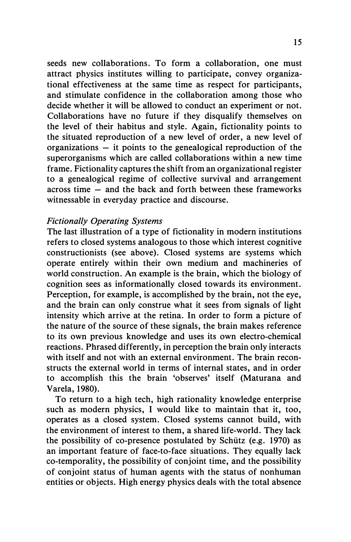seeds new collaborations. To form a collaboration, one must attract physics institutes willing to participate, convey organizational effectiveness at the same time as respect for participants, and stimulate confidence in the collaboration among those who decide whether it will be allowed to conduct an experiment or not. Collaborations have no future if they disqualify themselves on the level of their habitus and style. Again, fictionality points to the situated reproduction of a new level of order, a new level of organizations  $-$  it points to the genealogical reproduction of the superorganisms which are called collaborations within a new time frame. Fictionality captures the shift from an organizational register to a genealogical regime of collective survival and arrangement across time  $-$  and the back and forth between these frameworks witnessable in everyday practice and discourse.

#### Fictionally Operating Systems

The last illustration of a type of fictionality in modern institutions refers to closed systems analogous to those which interest cognitive constructionists (see above). Closed systems are systems which operate entirely within their own medium and machineries of world construction. An example is the brain, which the biology of cognition sees as informationally closed towards its environment. Perception, for example, is accomplished by the brain, not the eye, and the brain can only construe what it sees from signals of light intensity which arrive at the retina. In order to form a picture of the nature of the source of these signals, the brain makes reference to its own previous knowledge and uses its own electro-chemical reactions. Phrased differently, in perception the brain only interacts with itself and not with an external environment. The brain reconstructs the external world in terms of internal states, and in order to accomplish this the brain 'observes' itself (Maturana and Varela, 1980).

To return to a high tech, high rationality knowledge enterprise such as modern physics, I would like to maintain that it, too, operates as a closed system. Closed systems cannot build, with the environment of interest to them, a shared life-world. They lack the possibility of co-presence postulated by Schiitz (e.g. 1970) as an important feature of face-to-face situations. They equally lack co-temporality, the possibility of conjoint time, and the possibility of conjoint status of human agents with the status of nonhuman entities or objects. High energy physics deals with the total absence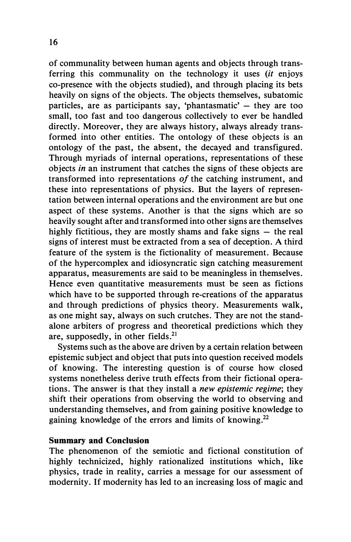of communality between human agents and objects through transferring this communality on the technology it uses *(it* enjoys co-presence with the objects studied), and through placing its bets heavily on signs of the objects. The objects themselves, subatomic particles, are as participants say, 'phantasmatic'  $-$  they are too small, too fast and too dangerous collectively to ever be handled directly. Moreover, they are always history, always already transformed into other entities. The ontology of these objects is an ontology of the past, the absent, the decayed and transfigured. Through myriads of internal operations, representations of these objects in an instrument that catches the signs of these objects are transformed into representations of the catching instrument, and these into representations of physics. But the layers of representation between internal operations and the environment are but one aspect of these systems. Another is that the signs which are so heavily sought after and transformed into other signs are themselves highly fictitious, they are mostly shams and fake signs  $-$  the real signs of interest must be extracted from a sea of deception. A third feature of the system is the fictionality of measurement. Because of the hypercomplex and idiosyncratic sign catching measurement apparatus, measurements are said to be meaningless in themselves. Hence even quantitative measurements must be seen as fictions which have to be supported through re-creations of the apparatus and through predictions of physics theory. Measurements walk, as one might say, always on such crutches. They are not the standalone arbiters of progress and theoretical predictions which they are, supposedly, in other fields. $^{21}$ 

Systems such as the above are driven by a certain relation between epistemic subject and object that puts into question received models of knowing. The interesting question is of course how closed systems nonetheless derive truth effects from their fictional operations. The answer is that they install a *new epistemic regime*; they shift their operations from observing the world to observing and understanding themselves, and from gaining positive knowledge to gaining knowledge of the errors and limits of knowing.<sup>22</sup>

#### Summary and Conclusion

The phenomenon of the semiotic and fictional constitution of highly technicized, highly rationalized institutions which, like physics, trade in reality, carries a message for our assessment of modernity. If modernity has led to an increasing loss of magic and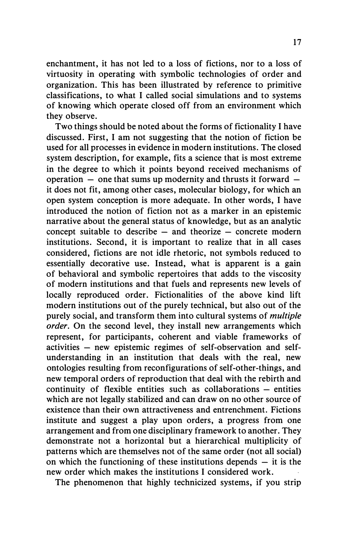enchantment, it has not led to a loss of fictions, nor to a loss of virtuosity in operating with symbolic technologies of order and organization. This has been illustrated by reference to primitive classifications, to what I called social simulations and to systems of knowing which operate closed off from an environment which they observe.

Two things should be noted about the forms of fictionality I have discussed. First, I am not suggesting that the notion of fiction be used for all processes in evidence in modern institutions. The closed system description, for example, fits a science that is most extreme in the degree to which it points beyond received mechanisms of operation  $-$  one that sums up modernity and thrusts it forward  $$ it does not fit, among other cases, molecular biology, for which an open system conception is more adequate. In other words, I have introduced the notion of fiction not as a marker in an epistemic narrative about the general status of knowledge, but as an analytic concept suitable to describe  $-$  and theorize  $-$  concrete modern institutions. Second, it is important to realize that in all cases considered, fictions are not idle rhetoric, not symbols reduced to essentially decorative use. Instead, what is apparent is a gain of behavioral and symbolic repertoires that adds to the viscosity of modern institutions and that fuels and represents new levels of locally reproduced order. Fictionalities of the above kind lift modern institutions out of the purely technical, but also out of the purely social, and transform them into cultural systems of *multiple* order. On the second level, they install new arrangements which represent, for participants, coherent and viable frameworks of activities – new epistemic regimes of self-observation and selfunderstanding in an institution that deals with the real, new ontologies resulting from reconfigurations of self-other-things, and new temporal orders of reproduction that deal with the rebirth and  $continuity$  of flexible entities such as collaborations  $-$  entities which are not legally stabilized and can draw on no other source of existence than their own attractiveness and entrenchment. Fictions institute and suggest a play upon orders, a progress from one arrangement and from one disciplinary framework to another. They demonstrate not a horizontal but a hierarchical multiplicity of patterns which are themselves not of the same order (not all social) on which the functioning of these institutions depends  $-$  it is the new order which makes the institutions I considered work.

The phenomenon that highly technicized systems, if you strip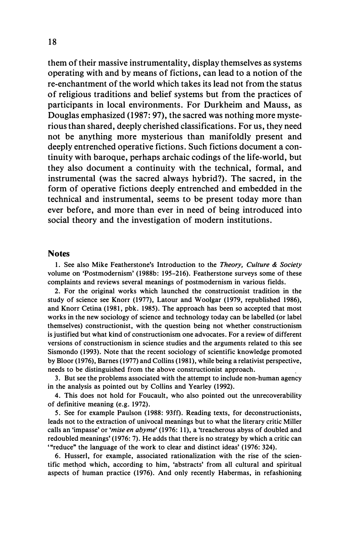them of their massive instrumentality, display themselves as systems operating with and by means of fictions, can lead to a notion of the re-enchantment of the world which takes its lead not from the status of religious traditions and belief systems but from the practices of participants in local environments. For Durkheim and Mauss, as Douglas emphasized (1987: 97), the sacred was nothing more mysterious than shared, deeply cherished classifications. For us, they need not be anything more mysterious than manifoldly present and deeply entrenched operative fictions. Such fictions document a continuity with baroque, perhaps archaic codings of the life-world, but they also document a continuity with the technical, formal, and instrumental (was the sacred always hybrid?). The sacred, in the form of operative fictions deeply entrenched and embedded in the technical and instrumental, seems to be present today more than ever before, and more than ever in need of being introduced into social theory and the investigation of modern institutions.

#### Notes

1. See also Mike Featherstone's Introduction to the Theory, Culture & Society volume on 'Postmodernism' (1988b: 195-216). Featherstone surveys some of these complaints and reviews several meanings of postmodernism in various fields.

2. For the original works which launched the constructionist tradition in the study of science see Knorr (1977), Latour and Woolgar (1979, republished 1986), and Knorr Cetina (1981, pbk. 1985). The approach has been so accepted that most works in the new sociology of science and technology today can be labelled (or label themselves) constructionist, with the question being not whether constructionism is justified but what kind of constructionism one advocates. For a review of different versions of constructionism in science studies and the arguments related to this see Sismondo (1993). Note that the recent sociology of scientific knowledge promoted by Bloor (1976), Barnes (1977) and Collins (1981), while being a relativist perspective, needs to be distinguished from the above constructionist approach.

3. But see the problems associated with the attempt to include non-human agency in the analysis as pointed out by Collins and Yearley (1992).

4. This does not hold for Foucault, who also pointed out the unrecoverability of definitive meaning (e.g. 1972).

5. See for example Paulson (1988: 93ff). Reading texts, for deconstructionists, leads not to the extraction of univocal meanings but to what the literary critic Miller calls an 'impasse' or 'mise en abyme' (1976: 11), a 'treacherous abyss of doubled and redoubled meanings' (l976: 7). He adds that there is no strategy by which a critic can '"reduce" the language of the work to clear and distinct ideas' (1976: 324).

6. Husserl, for example, associated rationalization with the rise of the scientific method which, according to him, 'abstracts' from all cultural and spiritual aspects of human practice (1976). And only recently Habermas, in refashioning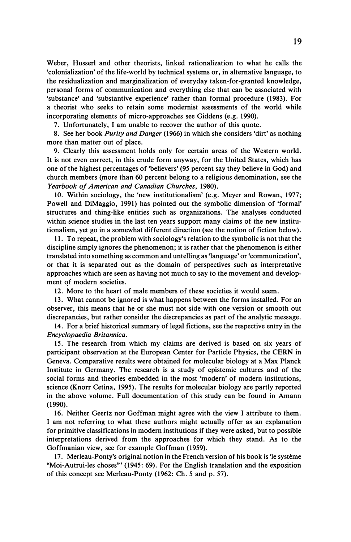Weber, Husserl and other theorists, linked rationalization to what he calls the 'colonialization' of the life-world by technical systems or, in alternative language, to the residualization and marginalization of everyday taken-for-granted knowledge, personal forms of communication and everything else that can be associated with 'substance' and 'substantive experience' rather than formal procedure (1983). For a theorist who seeks to retain some modernist assessments of the world while incorporating elements of micro-approaches see Giddens (e.g. 1990).

7. Unfortunately, I am unable to recover the author of this quote.

8. See her book Purity and Danger (1966) in which she considers 'dirt' as nothing more than matter out of place.

9. Clearly this assessment holds only for certain areas of the Western world. It is not even correct, in this crude form anyway, for the United States, which has one of the highest percentages of 'believers' (95 percent say they believe in God) and church members (more than 60 percent belong to a religious denomination, see the Yearbook of American and Canadian Churches, 1980).

10. Within sociology, the 'new institutionalism' (e.g. Meyer and Rowan, 1977; Powell and DiMaggio, 1991) has pointed out the symbolic dimension of 'formal' structures and thing-like entities such as organizations. The analyses conducted within science studies in the last ten years support many claims of the new institutionalism, yet go in a somewhat different direction (see the notion of fiction below).

11. To repeat, the problem with sociology's relation to the symbolic is not that the discipline simply ignores the phenomenon; it is rather that the phenomenon is either translated into something as common and untelling as 'language' or 'communication', or that it is separated out as the domain of perspectives such as interpretative approaches which are seen as having not much to say to the movement and development of modern societies.

12. More to the heart of male members of these societies it would seem.

13. What cannot be ignored is what happens between the forms installed. For an observer, this means that he or she must not side with one version or smooth out discrepancies, but rather consider the discrepancies as part of the analytic message.

14. For a brief historical summary of legal fictions, see the respective entry in the Encyclopaedia Britannica.

15. The research from which my claims are derived is based on six years of participant observation at the European Center for Particle Physics, the CERN in Geneva. Comparative results were obtained for molecular biology at a Max Planck Institute in Germany. The research is a study of epistemic cultures and of the social forms and theories embedded in the most 'modern' of modern institutions, science (Knorr Cetina, 1995). The results for molecular biology are partly reported in the above volume. Full documentation of this study can be found in Amann (1990).

16. Neither Geertz nor Goffman might agree with the view I attribute to them. I am not referring to what these authors might actually offer as an explanation for primitive classifications in modern institutions if they were asked, but to possible interpretations derived from the approaches for which they stand. As to the Goffmanian view, see for example Goffman (1959).

17. Merleau-Ponty's original notion in the French version of his book is 'le systeme "Moi-Autrui-les choses" ' (1945: 69). For the English translation and the exposition of this concept see Merleau-Ponty (1962: Ch. 5 and p. 57).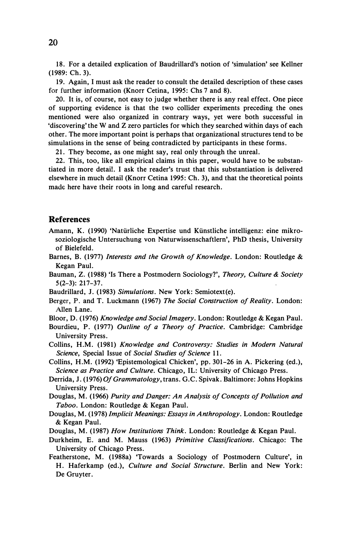18. For a detailed explication of Baudrillard's notion of 'simulation' see Kellner (1989: Ch. 3).

19. Again, I must ask the reader to consult the detailed description of these cases for further information (Knorr Cetina, 1995: Chs 7 and 8).

20. It is, of course, not easy to judge whether there is any real effect. One piece of supporting evidence is that the two collider experiments preceding the ones mentioned were also organized in contrary ways, yet were both successful in 'discovering' the W and Z zero particles for which they searched within days of each other. The more important point is perhaps that organizational structures tend to be simulations in the sense of being contradicted by participants in these forms.

21. They become, as one might say, real only through the unreal.

22. This, too, like all empirical claims in this paper, would have to be substantiated in more detail. I ask the reader's trust that this substantiation is delivered elsewhere in much detail (Knorr Cetina 1995: Ch. 3), and that the theoretical points made here have their roots in long and careful research.

#### References

- Amann, K. (1990) 'Natiirliche Expertise und Kiinstliche intelligenz: eine mikrosoziologische Untersuchung von Naturwissenschaftlern', PhD thesis, University of Bielefeld.
- Barnes, B. (1977) Interests and the Growth of Knowledge. London: Routledge & Kegan Paul.
- Bauman, Z. (1988) 'Is There a Postmodern Sociology?', Theory, Culture & Society 5(2-3): 217-37.
- Baudrillard, J. (1983) Simulations. New York: Semiotext(e).
- Berger, P. and T. Luckmann (1967) The Social Construction of Reality. London: AlIen Lane.
- Bloor, D. (1976) Knowledge and Social Imagery. London: Routledge & Kegan Paul.
- Bourdieu, P. (1977) Outline of a Theory of Practice. Cambridge: Cambridge University Press.
- Collins, H.M. (1981) Knowledge and Controversy: Studies in Modern Natural Science, Special Issue of Social Studies of Science 11.
- Collins, H.M. (1992) 'Epistemological Chicken', pp. 301-26 in A. Pickering (ed.), Science as Practice and Culture. Chicago, IL: University of Chicago Press.
- Derrida, J. (1976) Of Grammatology, trans. G.C. Spivak. Baltimore: Johns Hopkins University Press.
- Douglas, M. (1966) Purity and Danger: An Analysis of Concepts of Pollution and Taboo. London: Routledge & Kegan Paul.
- Douglas, M. (1978) Implicit Meanings: Essays in Anthropology. London: Routledge & Kegan Paul.
- Douglas, M. (1987) How Institutions Think. London: Routledge & Kegan Paul.
- Durkheim, E. and M. Mauss (1963) Primitive Classifications. Chicago: The University of Chicago Press.
- Featherstone, M. (1988a) 'Towards a Sociology of Postmodern Culture', in H. Haferkamp (ed.), Culture and Social Structure. Berlin and New York: De Gruyter.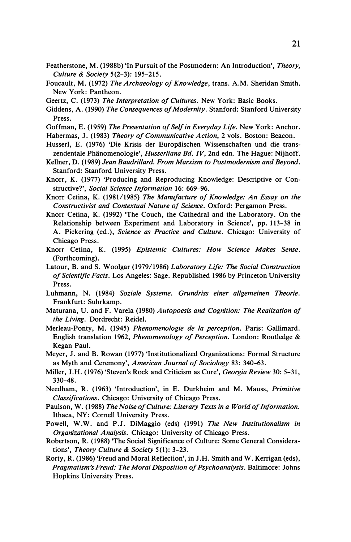- Featherstone, M. (1988b) 'In Pursuit of the Postmodern: An Introduction', Theory, Culture & Society 5(2-3): 195-215.
- Foucault, M. (1972) The Archaeology of Knowledge, trans. A.M. Sheridan Smith. New York: Pantheon.
- Geertz, C. (1973) The Interpretation of Cultures. New York: Basic Books.
- Giddens, A. (1990) The Consequences of Modernity. Stanford: Stanford University Press.
- Goffman, E. (1959) The Presentation of Self in Everyday Life. New York: Anchor.
- Habermas, J. (1983) Theory oj Communicative Action, 2 vols. Boston: Beacon.
- Husserl, E. (1976) 'Die Krisis der Europäischen Wissenschaften und die transzendentale Phänomenologie', *Husserliana Bd. IV*, 2nd edn. The Hague: Nijhoff.
- Kellner, D. (1989) Jean Baudrillard. From Marxism to Postmodernism and Beyond. Stanford: Stanford University Press.
- Knorr, K. (1977) 'Producing and Reproducing Knowledge: Descriptive or Constructive?', Social Science Information 16: 669-96.
- Knorr Cetina, K. (1981/1985) The Manufacture of Knowledge: An Essay on the Constructivist and Contextual Nature oj Science. Oxford: Pergamon Press.
- Knorr Cetina, K. (1992) 'The Couch, the Cathedral and the Laboratory. On the Relationship between Experiment and Laboratory in Science', pp. 113-38 in A. Pickering (ed.), Science as Practice and Culture. Chicago: University of Chicago Press.
- Knorr Cetina, K. (1995) Epistemic Cultures: How Science Makes Sense. (Forthcoming).
- Latour, B. and S. Woolgar (1979/1986) Laboratory Life: The Social Construction oj Scientific Facts. Los Angeles: Sage. Republished 1986 by Princeton University Press.
- Luhmann, N. (1984) Soziale Systeme. Grundriss einer allgemeinen Theorie. Frankfurt: Suhrkamp.
- Maturana, U. and F. Varela (1980) Autopoesis and Cognition: The Realization of the Living. Dordrecht: Reidel.
- Merleau-Ponty, M. (1945) Phenomenologie de la perception. Paris: Gallimard. English translation 1962, Phenomenology of Perception. London: Routledge & Kegan Paul.
- Meyer, J. and B. Rowan (1977) 'Institutionalized Organizations: Formal Structure as Myth and Ceremony', American Journal of Sociology 83: 340-63.
- Miller, J.H. (1976) 'Steven's Rock and Criticism as Cure', Georgia Review 30: 5-31, 330-48.
- Needham, R. (1963) 'Introduction', in E. Durkheim and M. Mauss, Primitive Classifications. Chicago: University of Chicago Press.
- Paulson, W. (1988) The Noise of Culture: Literary Texts in a World of Information. Ithaca, NY: Cornell University Press.
- Powell, W.W. and P.J. DiMaggio (eds) (1991) The New Institutionalism in Organizational Analysis. Chicago: University of Chicago Press.
- Robertson, R. (1988) 'The Social Significance of Culture: Some General Considerations', Theory Culture & Society 5(1): 3-23.
- Rorty, R. (1986) 'Freud and Moral Reflection', in J.H. Smith and W. Kerrigan (eds), Pragmatism's Freud: The Moral Disposition oj Psychoanalysis. Baltimore: Johns Hopkins University Press.